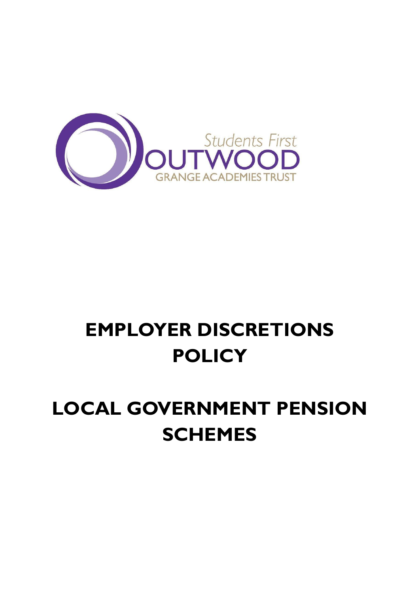

# **EMPLOYER DISCRETIONS POLICY**

# **LOCAL GOVERNMENT PENSION SCHEMES**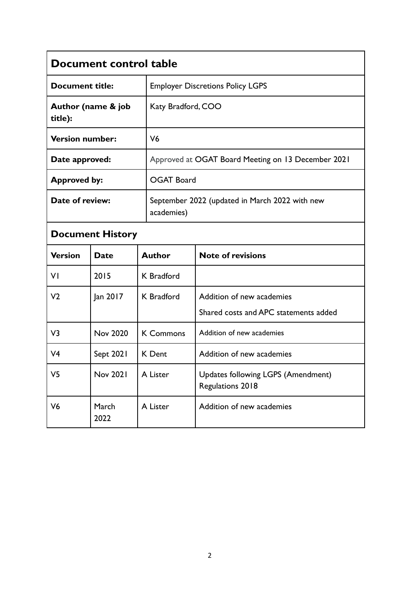| Document control table        |                 |                   |                                                                    |  |  |
|-------------------------------|-----------------|-------------------|--------------------------------------------------------------------|--|--|
| <b>Document title:</b>        |                 |                   | <b>Employer Discretions Policy LGPS</b>                            |  |  |
| Author (name & job<br>title): |                 |                   | Katy Bradford, COO                                                 |  |  |
| <b>Version number:</b>        |                 | V <sub>6</sub>    |                                                                    |  |  |
| Date approved:                |                 |                   | Approved at OGAT Board Meeting on 13 December 2021                 |  |  |
| <b>Approved by:</b>           |                 |                   | <b>OGAT Board</b>                                                  |  |  |
| Date of review:               |                 | academies)        | September 2022 (updated in March 2022 with new                     |  |  |
| <b>Document History</b>       |                 |                   |                                                                    |  |  |
| <b>Version</b>                | <b>Date</b>     | <b>Author</b>     | <b>Note of revisions</b>                                           |  |  |
| VI                            | 2015            | K Bradford        |                                                                    |  |  |
| V <sub>2</sub>                | Jan 2017        | <b>K</b> Bradford | Addition of new academies<br>Shared costs and APC statements added |  |  |
| V3                            | Nov 2020        | <b>K Commons</b>  | Addition of new academies                                          |  |  |
| V4                            | Sept 2021       | K Dent            | Addition of new academies                                          |  |  |
| V5                            | <b>Nov 2021</b> | A Lister          | <b>Updates following LGPS (Amendment)</b><br>Regulations 2018      |  |  |
| V <sub>6</sub>                | March<br>2022   | A Lister          | Addition of new academies                                          |  |  |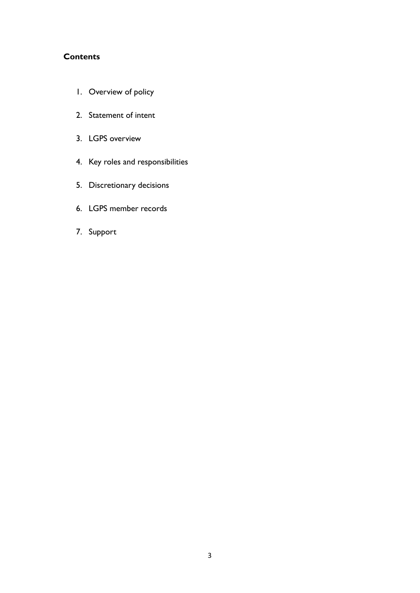## **Contents**

- 1. Overview of policy
- 2. Statement of intent
- 3. LGPS overview
- 4. Key roles and responsibilities
- 5. Discretionary decisions
- 6. LGPS member records
- 7. Support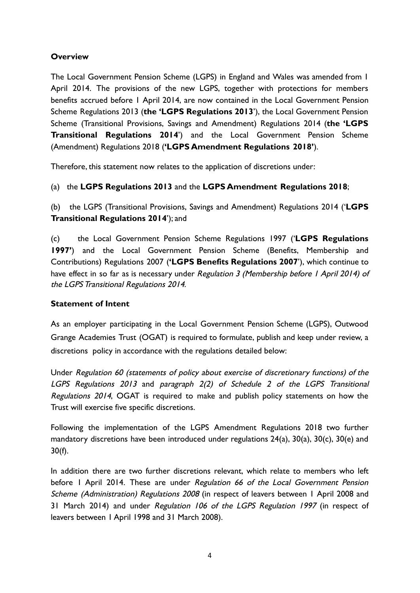## **Overview**

The Local Government Pension Scheme (LGPS) in England and Wales was amended from 1 April 2014. The provisions of the new LGPS, together with protections for members benefits accrued before 1 April 2014, are now contained in the Local Government Pension Scheme Regulations 2013 (**the 'LGPS Regulations 2013**'), the Local Government Pension Scheme (Transitional Provisions, Savings and Amendment) Regulations 2014 (**the 'LGPS Transitional Regulations 2014**') and the Local Government Pension Scheme (Amendment) Regulations 2018 (**'LGPS Amendment Regulations 2018'**).

Therefore, this statement now relates to the application of discretions under:

## (a) the **LGPS Regulations 2013** and the **LGPS Amendment Regulations 2018**;

(b) the LGPS (Transitional Provisions, Savings and Amendment) Regulations 2014 ('**LGPS Transitional Regulations 2014**'); and

(c) the Local Government Pension Scheme Regulations 1997 ('**LGPS Regulations 1997'**) and the Local Government Pension Scheme (Benefits, Membership and Contributions) Regulations 2007 (**'LGPS Benefits Regulations 2007**'), which continue to have effect in so far as is necessary under Regulation 3 (Membership before 1 April 2014) of the LGPS Transitional Regulations 2014.

## **Statement of Intent**

As an employer participating in the Local Government Pension Scheme (LGPS), Outwood Grange Academies Trust (OGAT) is required to formulate, publish and keep under review, a discretions policy in accordance with the regulations detailed below:

Under Regulation 60 (statements of policy about exercise of discretionary functions) of the LGPS Regulations 2013 and paragraph 2(2) of Schedule 2 of the LGPS Transitional Regulations 2014, OGAT is required to make and publish policy statements on how the Trust will exercise five specific discretions.

Following the implementation of the LGPS Amendment Regulations 2018 two further mandatory discretions have been introduced under regulations 24(a), 30(a), 30(c), 30(e) and 30(f).

In addition there are two further discretions relevant, which relate to members who left before I April 2014. These are under Regulation 66 of the Local Government Pension Scheme (Administration) Regulations 2008 (in respect of leavers between 1 April 2008 and 31 March 2014) and under Regulation 106 of the LGPS Regulation 1997 (in respect of leavers between 1 April 1998 and 31 March 2008).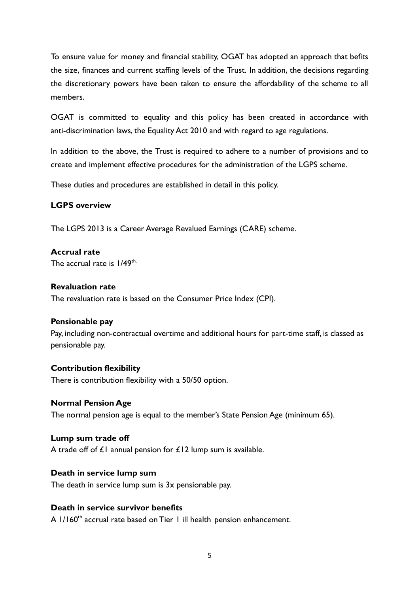To ensure value for money and financial stability, OGAT has adopted an approach that befits the size, finances and current staffing levels of the Trust. In addition, the decisions regarding the discretionary powers have been taken to ensure the affordability of the scheme to all members.

OGAT is committed to equality and this policy has been created in accordance with anti-discrimination laws, the Equality Act 2010 and with regard to age regulations.

In addition to the above, the Trust is required to adhere to a number of provisions and to create and implement effective procedures for the administration of the LGPS scheme.

These duties and procedures are established in detail in this policy.

#### **LGPS overview**

The LGPS 2013 is a Career Average Revalued Earnings (CARE) scheme.

#### **Accrual rate**

The accrual rate is  $1/49^{\text{th}}$ .

#### **Revaluation rate**

The revaluation rate is based on the Consumer Price Index (CPI).

#### **Pensionable pay**

Pay, including non-contractual overtime and additional hours for part-time staff, is classed as pensionable pay.

#### **Contribution flexibility**

There is contribution flexibility with a 50/50 option.

#### **Normal Pension Age**

The normal pension age is equal to the member's State Pension Age (minimum 65).

#### **Lump sum trade off**

A trade off of  $E1$  annual pension for  $E12$  lump sum is available.

#### **Death in service lump sum**

The death in service lump sum is 3x pensionable pay.

## **Death in service survivor benefits**

A 1/160 $^{\text{th}}$  accrual rate based on Tier 1 ill health pension enhancement.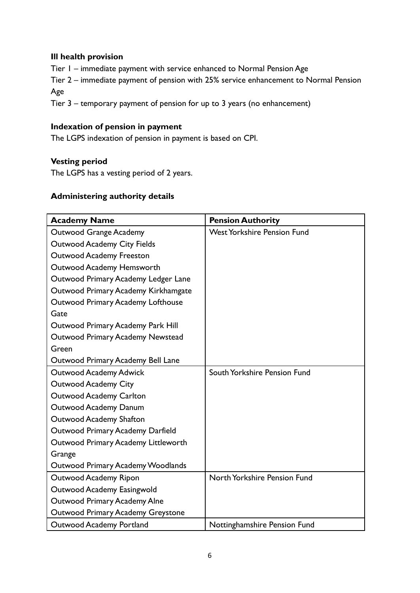## **Ill health provision**

Tier 1 – immediate payment with service enhanced to Normal Pension Age

Tier 2 – immediate payment of pension with 25% service enhancement to Normal Pension Age

Tier 3 – temporary payment of pension for up to 3 years (no enhancement)

## **Indexation of pension in payment**

The LGPS indexation of pension in payment is based on CPI.

## **Vesting period**

The LGPS has a vesting period of 2 years.

## **Administering authority details**

| <b>Academy Name</b>                 | <b>Pension Authority</b>           |
|-------------------------------------|------------------------------------|
| Outwood Grange Academy              | <b>West Yorkshire Pension Fund</b> |
| <b>Outwood Academy City Fields</b>  |                                    |
| <b>Outwood Academy Freeston</b>     |                                    |
| Outwood Academy Hemsworth           |                                    |
| Outwood Primary Academy Ledger Lane |                                    |
| Outwood Primary Academy Kirkhamgate |                                    |
| Outwood Primary Academy Lofthouse   |                                    |
| Gate                                |                                    |
| Outwood Primary Academy Park Hill   |                                    |
| Outwood Primary Academy Newstead    |                                    |
| Green                               |                                    |
| Outwood Primary Academy Bell Lane   |                                    |
| <b>Outwood Academy Adwick</b>       | South Yorkshire Pension Fund       |
| <b>Outwood Academy City</b>         |                                    |
| <b>Outwood Academy Carlton</b>      |                                    |
| Outwood Academy Danum               |                                    |
| Outwood Academy Shafton             |                                    |
| Outwood Primary Academy Darfield    |                                    |
| Outwood Primary Academy Littleworth |                                    |
| Grange                              |                                    |
| Outwood Primary Academy Woodlands   |                                    |
| <b>Outwood Academy Ripon</b>        | North Yorkshire Pension Fund       |
| Outwood Academy Easingwold          |                                    |
| Outwood Primary Academy Alne        |                                    |
| Outwood Primary Academy Greystone   |                                    |
| Outwood Academy Portland            | Nottinghamshire Pension Fund       |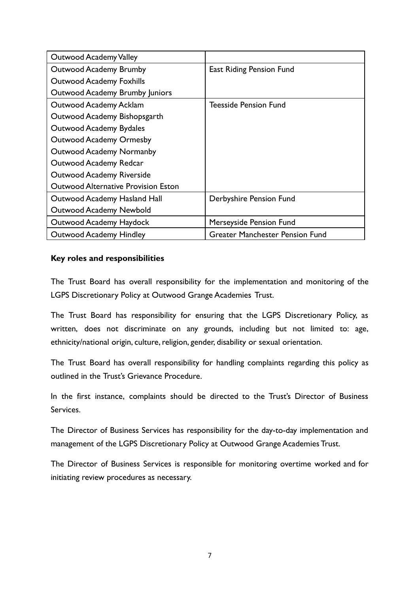| <b>Outwood Academy Valley</b>              |                                        |
|--------------------------------------------|----------------------------------------|
| <b>Outwood Academy Brumby</b>              | East Riding Pension Fund               |
| <b>Outwood Academy Foxhills</b>            |                                        |
| Outwood Academy Brumby Juniors             |                                        |
| Outwood Academy Acklam                     | Teesside Pension Fund                  |
| Outwood Academy Bishopsgarth               |                                        |
| Outwood Academy Bydales                    |                                        |
| <b>Outwood Academy Ormesby</b>             |                                        |
| <b>Outwood Academy Normanby</b>            |                                        |
| Outwood Academy Redcar                     |                                        |
| <b>Outwood Academy Riverside</b>           |                                        |
| <b>Outwood Alternative Provision Eston</b> |                                        |
| Outwood Academy Hasland Hall               | Derbyshire Pension Fund                |
| <b>Outwood Academy Newbold</b>             |                                        |
| Outwood Academy Haydock                    | Merseyside Pension Fund                |
| <b>Outwood Academy Hindley</b>             | <b>Greater Manchester Pension Fund</b> |

## **Key roles and responsibilities**

The Trust Board has overall responsibility for the implementation and monitoring of the LGPS Discretionary Policy at Outwood Grange Academies Trust.

The Trust Board has responsibility for ensuring that the LGPS Discretionary Policy, as written, does not discriminate on any grounds, including but not limited to: age, ethnicity/national origin, culture, religion, gender, disability or sexual orientation.

The Trust Board has overall responsibility for handling complaints regarding this policy as outlined in the Trust's Grievance Procedure.

In the first instance, complaints should be directed to the Trust's Director of Business Services.

The Director of Business Services has responsibility for the day-to-day implementation and management of the LGPS Discretionary Policy at Outwood Grange Academies Trust.

The Director of Business Services is responsible for monitoring overtime worked and for initiating review procedures as necessary.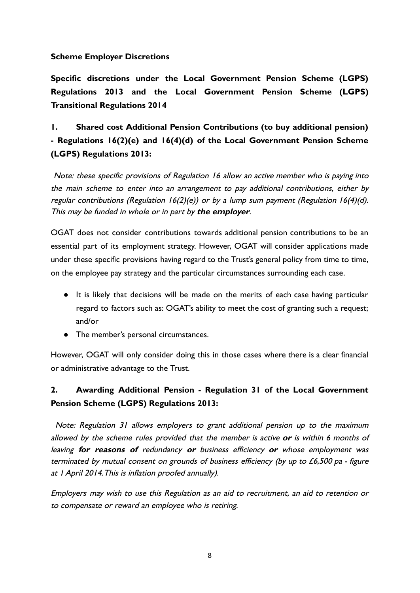## **Scheme Employer Discretions**

**Specific discretions under the Local Government Pension Scheme (LGPS) Regulations 2013 and the Local Government Pension Scheme (LGPS) Transitional Regulations 2014**

# **1. Shared cost Additional Pension Contributions (to buy additional pension) - Regulations 16(2)(e) and 16(4)(d) of the Local Government Pension Scheme (LGPS) Regulations 2013:**

Note: these specific provisions of Regulation 16 allow an active member who is paying into the main scheme to enter into an arrangement to pay additional contributions, either by regular contributions (Regulation  $16(2)(e)$ ) or by a lump sum payment (Regulation  $16(4)(d)$ . This may be funded in whole or in part by **the employer**.

OGAT does not consider contributions towards additional pension contributions to be an essential part of its employment strategy. However, OGAT will consider applications made under these specific provisions having regard to the Trust's general policy from time to time, on the employee pay strategy and the particular circumstances surrounding each case.

- It is likely that decisions will be made on the merits of each case having particular regard to factors such as: OGAT's ability to meet the cost of granting such a request; and/or
- The member's personal circumstances.

However, OGAT will only consider doing this in those cases where there is a clear financial or administrative advantage to the Trust.

## **2. Awarding Additional Pension - Regulation 31 of the Local Government Pension Scheme (LGPS) Regulations 2013:**

Note: Regulation 31 allows employers to grant additional pension up to the maximum allowed by the scheme rules provided that the member is active **or** is within 6 months of leaving **for reasons of** redundancy **or** business efficiency **or** whose employment was terminated by mutual consent on grounds of business efficiency (by up to £6,500 pa - figure at 1 April 2014.This is inflation proofed annually).

Employers may wish to use this Regulation as an aid to recruitment, an aid to retention or to compensate or reward an employee who is retiring.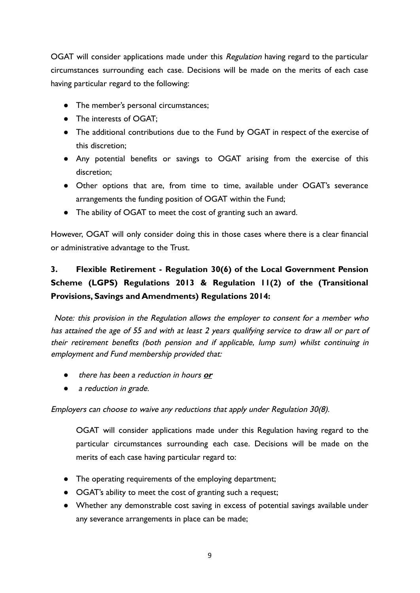OGAT will consider applications made under this Regulation having regard to the particular circumstances surrounding each case. Decisions will be made on the merits of each case having particular regard to the following:

- The member's personal circumstances;
- The interests of OGAT;
- The additional contributions due to the Fund by OGAT in respect of the exercise of this discretion;
- Any potential benefits or savings to OGAT arising from the exercise of this discretion;
- Other options that are, from time to time, available under OGAT's severance arrangements the funding position of OGAT within the Fund;
- The ability of OGAT to meet the cost of granting such an award.

However, OGAT will only consider doing this in those cases where there is a clear financial or administrative advantage to the Trust.

# **3. Flexible Retirement - Regulation 30(6) of the Local Government Pension Scheme (LGPS) Regulations 2013 & Regulation 11(2) of the (Transitional Provisions, Savings and Amendments) Regulations 2014:**

Note: this provision in the Regulation allows the employer to consent for <sup>a</sup> member who has attained the age of 55 and with at least 2 years qualifying service to draw all or part of their retirement benefits (both pension and if applicable, lump sum) whilst continuing in employment and Fund membership provided that:

- there has been a reduction in hours **or**
- a reduction in grade.

Employers can choose to waive any reductions that apply under Regulation 30(8).

OGAT will consider applications made under this Regulation having regard to the particular circumstances surrounding each case. Decisions will be made on the merits of each case having particular regard to:

- The operating requirements of the employing department;
- OGAT's ability to meet the cost of granting such a request;
- Whether any demonstrable cost saving in excess of potential savings available under any severance arrangements in place can be made;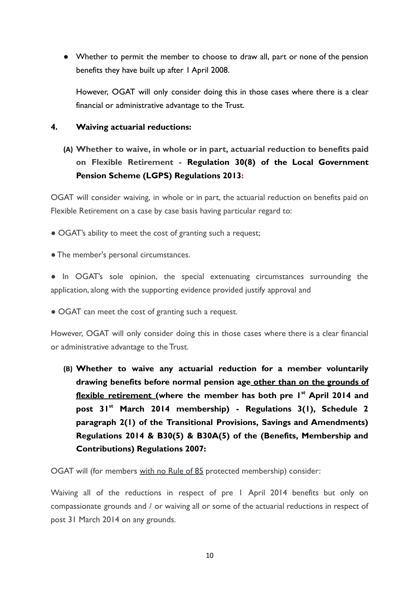● Whether to permit the member to choose to draw all, part or none of the pension benefits they have built up after 1 April 2008.

However, OGAT will only consider doing this in those cases where there is a clear financial or administrative advantage to the Trust.

#### **4. Waiving actuarial reductions:**

**(A) Whether to waive, in whole or in part, actuarial reduction to benefits paid on Flexible Retirement - Regulation 30(8) of the Local Government Pension Scheme (LGPS) Regulations 2013:**

OGAT will consider waiving, in whole or in part, the actuarial reduction on benefits paid on Flexible Retirement on a case by case basis having particular regard to:

- OGAT's ability to meet the cost of granting such a request;
- The member's personal circumstances.
- In OGAT's sole opinion, the special extenuating circumstances surrounding the application, along with the supporting evidence provided justify approval and
- OGAT can meet the cost of granting such a request.

However, OGAT will only consider doing this in those cases where there is a clear financial or administrative advantage to the Trust.

**(B) Whether to waive any actuarial reduction for a member voluntarily drawing benefits before normal pension age other than on the grounds of flexible retirement (where the member has both pre 1 st April 2014 and post 31st March 2014 membership) - Regulations 3(1), Schedule 2 paragraph 2(1) of the Transitional Provisions, Savings and Amendments) Regulations 2014 & B30(5) & B30A(5) of the (Benefits, Membership and Contributions) Regulations 2007:**

OGAT will (for members with no Rule of 85 protected membership) consider:

Waiving all of the reductions in respect of pre 1 April 2014 benefits but only on compassionate grounds and / or waiving all or some of the actuarial reductions in respect of post 31 March 2014 on any grounds.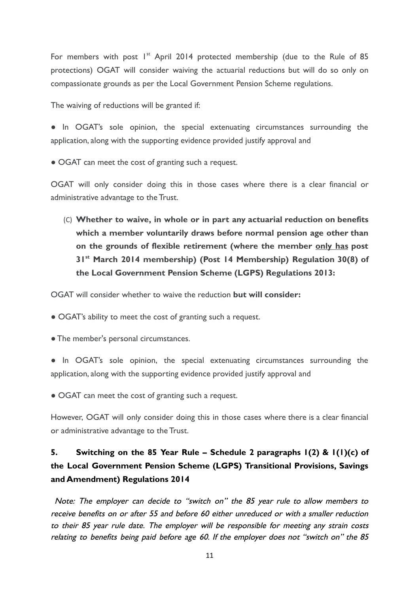For members with post  $I^{st}$  April 2014 protected membership (due to the Rule of 85 protections) OGAT will consider waiving the actuarial reductions but will do so only on compassionate grounds as per the Local Government Pension Scheme regulations.

The waiving of reductions will be granted if:

● In OGAT's sole opinion, the special extenuating circumstances surrounding the application, along with the supporting evidence provided justify approval and

• OGAT can meet the cost of granting such a request.

OGAT will only consider doing this in those cases where there is a clear financial or administrative advantage to the Trust.

(C) **Whether to waive, in whole or in part any actuarial reduction on benefits which a member voluntarily draws before normal pension age other than on the grounds of flexible retirement (where the member only has post 31st March 2014 membership) (Post 14 Membership) Regulation 30(8) of the Local Government Pension Scheme (LGPS) Regulations 2013:**

OGAT will consider whether to waive the reduction **but will consider:**

**●** OGAT's ability to meet the cost of granting such a request.

● The member's personal circumstances.

● In OGAT's sole opinion, the special extenuating circumstances surrounding the application, along with the supporting evidence provided justify approval and

• OGAT can meet the cost of granting such a request.

However, OGAT will only consider doing this in those cases where there is a clear financial or administrative advantage to the Trust.

# **5. Switching on the 85 Year Rule – Schedule 2 paragraphs 1(2) & 1(1)(c) of the Local Government Pension Scheme (LGPS) Transitional Provisions, Savings and Amendment) Regulations 2014**

Note: The employer can decide to "switch on" the 85 year rule to allow members to receive benefits on or after 55 and before 60 either unreduced or with <sup>a</sup> smaller reduction to their 85 year rule date. The employer will be responsible for meeting any strain costs relating to benefits being paid before age 60. If the employer does not "switch on" the 85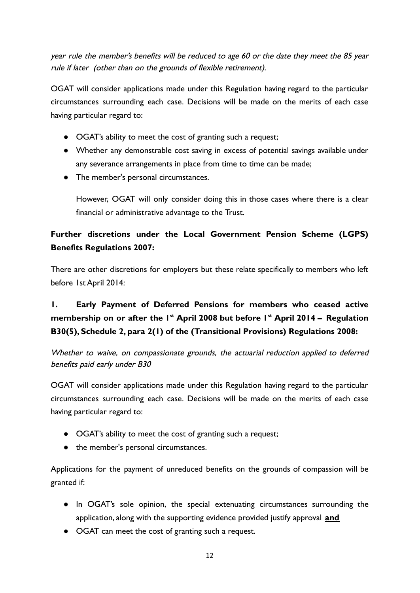year rule the member's benefits will be reduced to age 60 or the date they meet the 85 year rule if later (other than on the grounds of flexible retirement).

OGAT will consider applications made under this Regulation having regard to the particular circumstances surrounding each case. Decisions will be made on the merits of each case having particular regard to:

- OGAT's ability to meet the cost of granting such a request;
- Whether any demonstrable cost saving in excess of potential savings available under any severance arrangements in place from time to time can be made;
- The member's personal circumstances.

However, OGAT will only consider doing this in those cases where there is a clear financial or administrative advantage to the Trust.

# **Further discretions under the Local Government Pension Scheme (LGPS) Benefits Regulations 2007:**

There are other discretions for employers but these relate specifically to members who left before 1st April 2014:

# **1. Early Payment of Deferred Pensions for members who ceased active membership on or after the 1 st April 2008 but before 1 st April 2014 – Regulation B30(5), Schedule 2, para 2(1) of the (Transitional Provisions) Regulations 2008:**

Whether to waive, on compassionate grounds, the actuarial reduction applied to deferred benefits paid early under B30

OGAT will consider applications made under this Regulation having regard to the particular circumstances surrounding each case. Decisions will be made on the merits of each case having particular regard to:

- OGAT's ability to meet the cost of granting such a request;
- the member's personal circumstances.

Applications for the payment of unreduced benefits on the grounds of compassion will be granted if:

- In OGAT's sole opinion, the special extenuating circumstances surrounding the application, along with the supporting evidence provided justify approval **and**
- OGAT can meet the cost of granting such a request.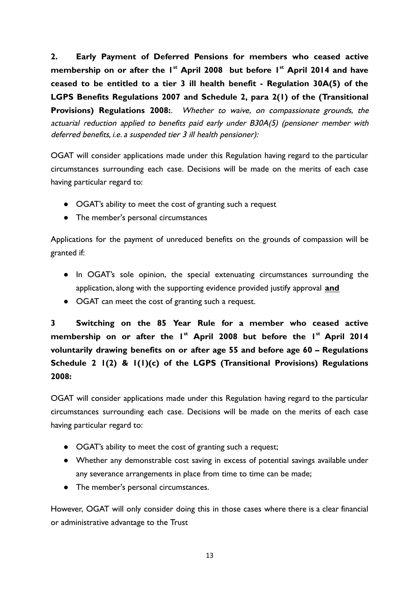**2. Early Payment of Deferred Pensions for members who ceased active membership on or after the 1 st April 2008 but before 1 st April 2014 and have ceased to be entitled to a tier 3 ill health benefit - Regulation 30A(5) of the LGPS Benefits Regulations 2007 and Schedule 2, para 2(1) of the (Transitional Provisions) Regulations 2008:**. Whether to waive, on compassionate grounds, the actuarial reduction applied to benefits paid early under B30A(5) (pensioner member with deferred benefits, i.e. a suspended tier 3 ill health pensioner):

OGAT will consider applications made under this Regulation having regard to the particular circumstances surrounding each case. Decisions will be made on the merits of each case having particular regard to:

- OGAT's ability to meet the cost of granting such a request
- The member's personal circumstances

Applications for the payment of unreduced benefits on the grounds of compassion will be granted if:

- In OGAT's sole opinion, the special extenuating circumstances surrounding the application, along with the supporting evidence provided justify approval **and**
- OGAT can meet the cost of granting such a request.

**3 Switching on the 85 Year Rule for a member who ceased active membership on or after the 1 st April 2008 but before the 1 st April 2014 voluntarily drawing benefits on or after age 55 and before age 60 – Regulations Schedule 2 1(2) & 1(1)(c) of the LGPS (Transitional Provisions) Regulations 2008:**

OGAT will consider applications made under this Regulation having regard to the particular circumstances surrounding each case. Decisions will be made on the merits of each case having particular regard to:

- OGAT's ability to meet the cost of granting such a request;
- Whether any demonstrable cost saving in excess of potential savings available under any severance arrangements in place from time to time can be made;
- The member's personal circumstances.

However, OGAT will only consider doing this in those cases where there is a clear financial or administrative advantage to the Trust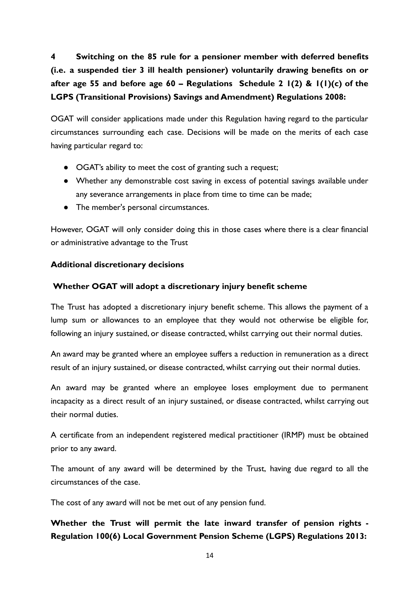**4 Switching on the 85 rule for a pensioner member with deferred benefits (i.e. a suspended tier 3 ill health pensioner) voluntarily drawing benefits on or after age 55 and before age 60 – Regulations Schedule 2 1(2) & 1(1)(c) of the LGPS (Transitional Provisions) Savings and Amendment) Regulations 2008:**

OGAT will consider applications made under this Regulation having regard to the particular circumstances surrounding each case. Decisions will be made on the merits of each case having particular regard to:

- OGAT's ability to meet the cost of granting such a request;
- Whether any demonstrable cost saving in excess of potential savings available under any severance arrangements in place from time to time can be made;
- The member's personal circumstances.

However, OGAT will only consider doing this in those cases where there is a clear financial or administrative advantage to the Trust

#### **Additional discretionary decisions**

#### **Whether OGAT will adopt a discretionary injury benefit scheme**

The Trust has adopted a discretionary injury benefit scheme. This allows the payment of a lump sum or allowances to an employee that they would not otherwise be eligible for, following an injury sustained, or disease contracted, whilst carrying out their normal duties.

An award may be granted where an employee suffers a reduction in remuneration as a direct result of an injury sustained, or disease contracted, whilst carrying out their normal duties.

An award may be granted where an employee loses employment due to permanent incapacity as a direct result of an injury sustained, or disease contracted, whilst carrying out their normal duties.

A certificate from an independent registered medical practitioner (IRMP) must be obtained prior to any award.

The amount of any award will be determined by the Trust, having due regard to all the circumstances of the case.

The cost of any award will not be met out of any pension fund.

## **Whether the Trust will permit the late inward transfer of pension rights - Regulation 100(6) Local Government Pension Scheme (LGPS) Regulations 2013:**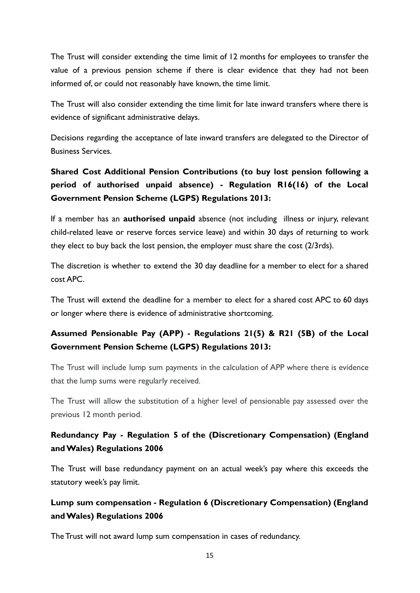The Trust will consider extending the time limit of 12 months for employees to transfer the value of a previous pension scheme if there is clear evidence that they had not been informed of, or could not reasonably have known, the time limit.

The Trust will also consider extending the time limit for late inward transfers where there is evidence of significant administrative delays.

Decisions regarding the acceptance of late inward transfers are delegated to the Director of Business Services.

# **Shared Cost Additional Pension Contributions (to buy lost pension following a period of authorised unpaid absence) - Regulation R16(16) of the Local Government Pension Scheme (LGPS) Regulations 2013:**

If a member has an **authorised unpaid** absence (not including illness or injury, relevant child-related leave or reserve forces service leave) and within 30 days of returning to work they elect to buy back the lost pension, the employer must share the cost (2/3rds).

The discretion is whether to extend the 30 day deadline for a member to elect for a shared cost APC.

The Trust will extend the deadline for a member to elect for a shared cost APC to 60 days or longer where there is evidence of administrative shortcoming.

# **Assumed Pensionable Pay (APP) - Regulations 21(5) & R21 (5B) of the Local Government Pension Scheme (LGPS) Regulations 2013:**

The Trust will include lump sum payments in the calculation of APP where there is evidence that the lump sums were regularly received.

The Trust will allow the substitution of a higher level of pensionable pay assessed over the previous 12 month period.

## **Redundancy Pay - Regulation 5 of the (Discretionary Compensation) (England and Wales) Regulations 2006**

The Trust will base redundancy payment on an actual week's pay where this exceeds the statutory week's pay limit.

# **Lump sum compensation - Regulation 6 (Discretionary Compensation) (England and Wales) Regulations 2006**

The Trust will not award lump sum compensation in cases of redundancy.